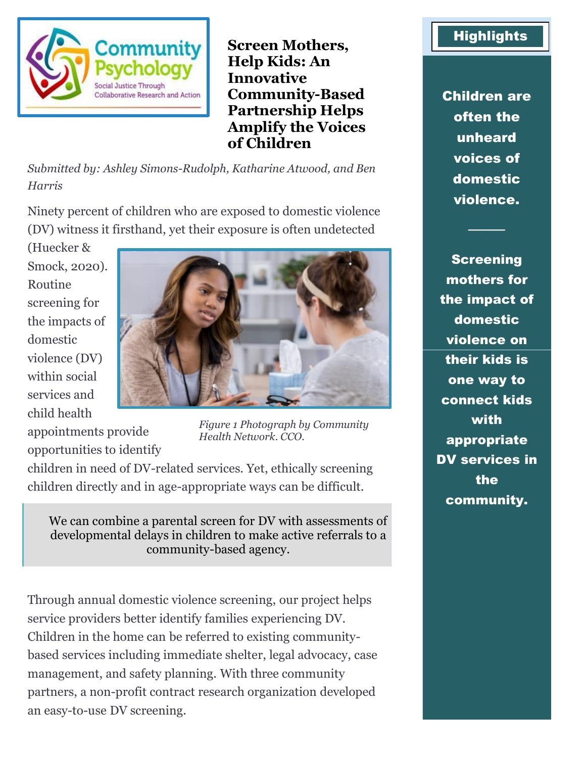

**Screen Mothers, Help Kids: An Innovative Community-Based Partnership Helps Amplify the Voices of Children**

*Submitted by: Ashley Simons-Rudolph, Katharine Atwood, and Ben Harris*

Ninety percent of children who are exposed to domestic violence (DV) witness it firsthand, yet their exposure is often undetected

(Huecker & Smock, 2020). Routine screening for the impacts of domestic violence (DV) within social services and child health



appointments provide opportunities to identify

*Figure 1 Photograph by Community Health Network. CCO.*

children in need of DV-related services. Yet, ethically screening children directly and in age-appropriate ways can be difficult.

We can combine a parental screen for DV with assessments of developmental delays in children to make active referrals to a community-based agency.

Through annual domestic violence screening, our project helps service providers better identify families experiencing DV. Children in the home can be referred to existing communitybased services including immediate shelter, legal advocacy, case management, and safety planning. With three community partners, a non-profit contract research organization developed an easy-to-use DV screening.

## **Highlights**

Children are often the unheard voices of domestic violence.

────

**Screening** mothers for the impact of domestic violence on their kids is one way to connect kids with appropriate DV services in the community.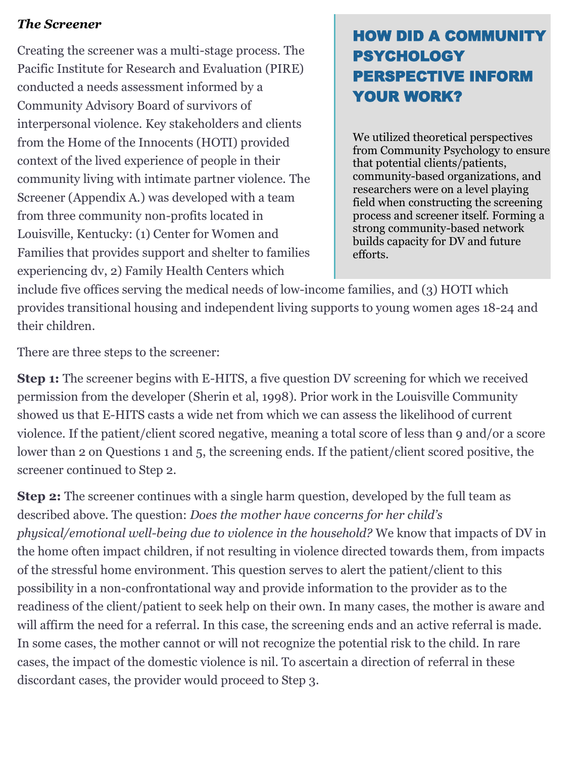## *The Screener*

Creating the screener was a multi-stage process. The Pacific Institute for Research and Evaluation (PIRE) conducted a needs assessment informed by a Community Advisory Board of survivors of interpersonal violence. Key stakeholders and clients from the Home of the Innocents (HOTI) provided context of the lived experience of people in their community living with intimate partner violence. The Screener (Appendix A.) was developed with a team from three community non-profits located in Louisville, Kentucky: (1) Center for Women and Families that provides support and shelter to families experiencing dv, 2) Family Health Centers which

# HOW DID A COMMUNITY PSYCHOLOGY PERSPECTIVE INFORM YOUR WORK?

We utilized theoretical perspectives from Community Psychology to ensure that potential clients/patients, community-based organizations, and researchers were on a level playing field when constructing the screening process and screener itself. Forming a strong community-based network builds capacity for DV and future efforts.

include five offices serving the medical needs of low-income families, and (3) HOTI which provides transitional housing and independent living supports to young women ages 18-24 and their children.

There are three steps to the screener:

**Step 1:** The screener begins with E-HITS, a five question DV screening for which we received permission from the developer (Sherin et al, 1998). Prior work in the Louisville Community showed us that E-HITS casts a wide net from which we can assess the likelihood of current violence. If the patient/client scored negative, meaning a total score of less than 9 and/or a score lower than 2 on Questions 1 and 5, the screening ends. If the patient/client scored positive, the screener continued to Step 2.

**Step 2:** The screener continues with a single harm question, developed by the full team as described above. The question: *Does the mother have concerns for her child's physical/emotional well-being due to violence in the household?* We know that impacts of DV in the home often impact children, if not resulting in violence directed towards them, from impacts of the stressful home environment. This question serves to alert the patient/client to this possibility in a non-confrontational way and provide information to the provider as to the readiness of the client/patient to seek help on their own. In many cases, the mother is aware and will affirm the need for a referral. In this case, the screening ends and an active referral is made. In some cases, the mother cannot or will not recognize the potential risk to the child. In rare cases, the impact of the domestic violence is nil. To ascertain a direction of referral in these discordant cases, the provider would proceed to Step 3.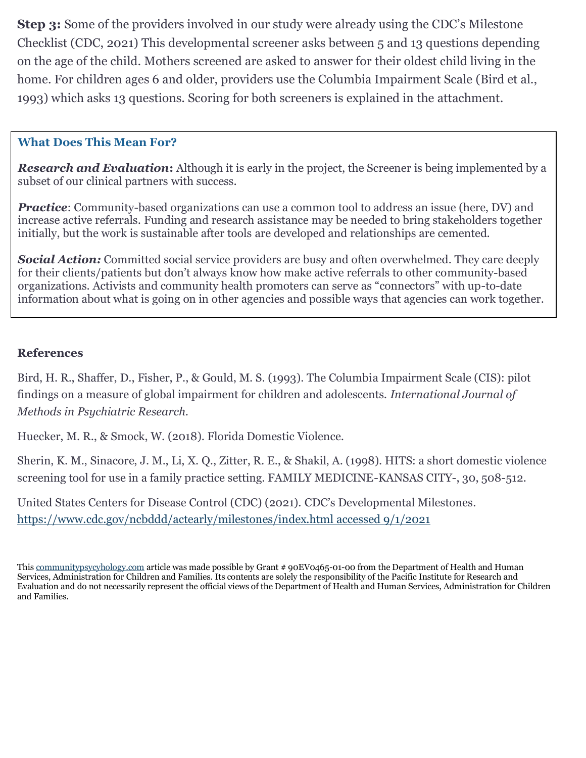**Step 3:** Some of the providers involved in our study were already using the CDC's Milestone Checklist (CDC, 2021) This developmental screener asks between 5 and 13 questions depending on the age of the child. Mothers screened are asked to answer for their oldest child living in the home. For children ages 6 and older, providers use the Columbia Impairment Scale (Bird et al., 1993) which asks 13 questions. Scoring for both screeners is explained in the attachment.

### **What Does This Mean For?**

*Research and Evaluation***:** Although it is early in the project, the Screener is being implemented by a subset of our clinical partners with success.

*Practice*: Community-based organizations can use a common tool to address an issue (here, DV) and increase active referrals. Funding and research assistance may be needed to bring stakeholders together initially, but the work is sustainable after tools are developed and relationships are cemented.

**Social Action:** Committed social service providers are busy and often overwhelmed. They care deeply for their clients/patients but don't always know how make active referrals to other community-based organizations. Activists and community health promoters can serve as "connectors" with up-to-date information about what is going on in other agencies and possible ways that agencies can work together.

## **References**

Bird, H. R., Shaffer, D., Fisher, P., & Gould, M. S. (1993). The Columbia Impairment Scale (CIS): pilot findings on a measure of global impairment for children and adolescents. *International Journal of Methods in Psychiatric Research*.

Huecker, M. R., & Smock, W. (2018). Florida Domestic Violence.

Sherin, K. M., Sinacore, J. M., Li, X. Q., Zitter, R. E., & Shakil, A. (1998). HITS: a short domestic violence screening tool for use in a family practice setting. FAMILY MEDICINE-KANSAS CITY-, 30, 508-512.

United States Centers for Disease Control (CDC) (2021). CDC's Developmental Milestones. [https://www.cdc.gov/ncbddd/actearly/milestones/index.html](https://www.cdc.gov/ncbddd/actearly/milestones/index.html%20accessed%209/1/2021) accessed 9/1/2021

Thi[s communitypsycyhology.com](https://www.communitypsychology.com/) article was made possible by Grant # 90EV0465-01-00 from the Department of Health and Human Services, Administration for Children and Families. Its contents are solely the responsibility of the Pacific Institute for Research and Evaluation and do not necessarily represent the official views of the Department of Health and Human Services, Administration for Children and Families.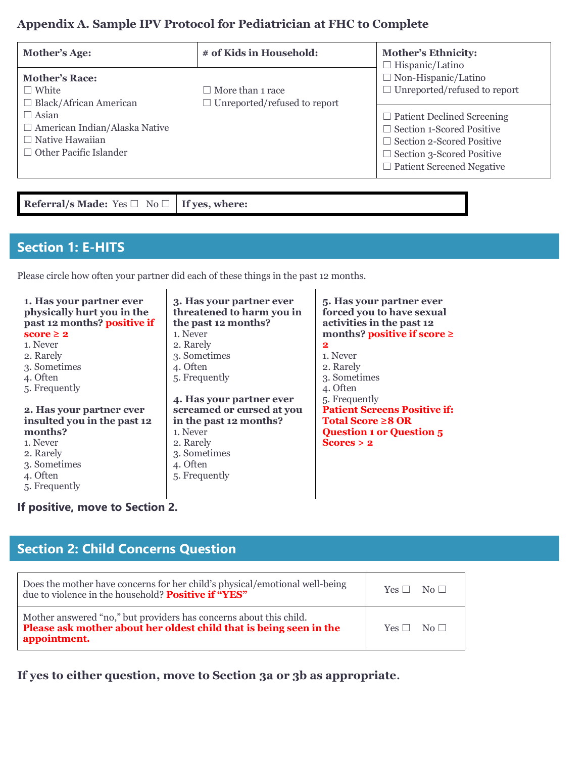## **Appendix A. Sample IPV Protocol for Pediatrician at FHC to Complete**

| Mother's Age:                                                                                                   | # of Kids in Household:                                        | <b>Mother's Ethnicity:</b><br>$\Box$ Hispanic/Latino                                                                                                                              |
|-----------------------------------------------------------------------------------------------------------------|----------------------------------------------------------------|-----------------------------------------------------------------------------------------------------------------------------------------------------------------------------------|
| <b>Mother's Race:</b><br>$\Box$ White<br>$\Box$ Black/African American                                          | $\Box$ More than 1 race<br>$\Box$ Unreported/refused to report | $\Box$ Non-Hispanic/Latino<br>$\Box$ Unreported/refused to report                                                                                                                 |
| $\Box$ Asian<br>$\Box$ American Indian/Alaska Native<br>$\Box$ Native Hawaiian<br>$\Box$ Other Pacific Islander |                                                                | $\Box$ Patient Declined Screening<br>$\Box$ Section 1-Scored Positive<br>$\Box$ Section 2-Scored Positive<br>$\Box$ Section 3-Scored Positive<br>$\Box$ Patient Screened Negative |

**Referral/s Made:** Yes ☐ No ☐ **If yes, where:**

## **Section 1: E-HITS**

Please circle how often your partner did each of these things in the past 12 months.

| 1. Has your partner ever<br>physically hurt you in the<br>past 12 months? positive if<br>score $\geq 2$ | 3. Has your partner ever<br>threatened to harm you in<br>the past 12 months?<br>1. Never | 5. Has your partner ever<br>forced you to have sexual<br>activities in the past 12<br>months? positive if score $\ge$ |
|---------------------------------------------------------------------------------------------------------|------------------------------------------------------------------------------------------|-----------------------------------------------------------------------------------------------------------------------|
| 1. Never                                                                                                | 2. Rarely                                                                                | $\mathbf{2}$                                                                                                          |
| 2. Rarely                                                                                               | 3. Sometimes                                                                             | 1. Never                                                                                                              |
| 3. Sometimes                                                                                            | 4. Often                                                                                 | 2. Rarely                                                                                                             |
| 4. Often                                                                                                | 5. Frequently                                                                            | 3. Sometimes                                                                                                          |
| 5. Frequently                                                                                           |                                                                                          | 4. Often                                                                                                              |
|                                                                                                         | 4. Has your partner ever                                                                 | 5. Frequently                                                                                                         |
| 2. Has your partner ever                                                                                | screamed or cursed at you                                                                | <b>Patient Screens Positive if:</b>                                                                                   |
| insulted you in the past 12                                                                             | in the past 12 months?                                                                   | Total Score $\geq 8$ OR                                                                                               |
| months?                                                                                                 | 1. Never                                                                                 | <b>Question 1 or Question 5</b>                                                                                       |
| 1. Never                                                                                                | 2. Rarely                                                                                | Scores > 2                                                                                                            |
| 2. Rarely                                                                                               | 3. Sometimes                                                                             |                                                                                                                       |
| 3. Sometimes                                                                                            | 4. Often                                                                                 |                                                                                                                       |
| 4. Often                                                                                                | 5. Frequently                                                                            |                                                                                                                       |
| 5. Frequently                                                                                           |                                                                                          |                                                                                                                       |

**If positive, move to Section 2.**

## **Section 2: Child Concerns Question**

| Does the mother have concerns for her child's physical/emotional well-being<br>due to violence in the household? <b>Positive if "YES"</b>                | $Yes \Box No \Box$ |
|----------------------------------------------------------------------------------------------------------------------------------------------------------|--------------------|
| Mother answered "no," but providers has concerns about this child.<br>Please ask mother about her oldest child that is being seen in the<br>appointment. | $Yes \Box No \Box$ |

**If yes to either question, move to Section 3a or 3b as appropriate.**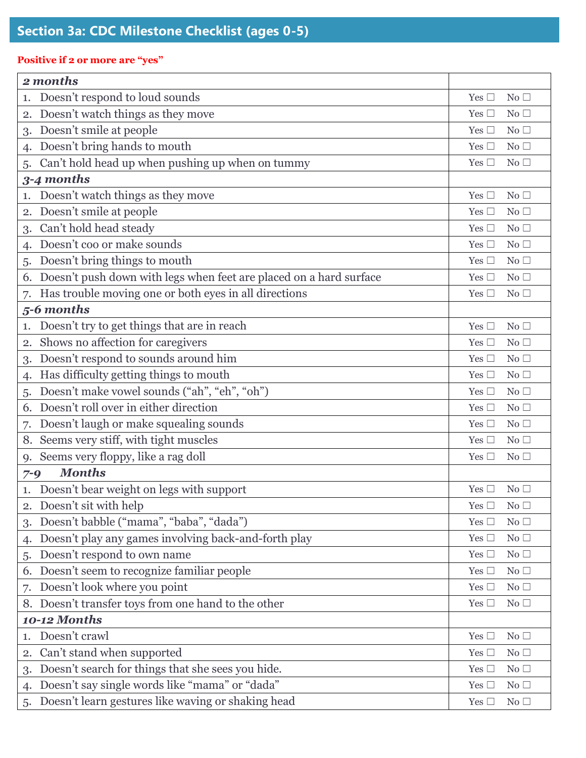### **Positive if 2 or more are "yes"**

| 2 months                                                           |                 |
|--------------------------------------------------------------------|-----------------|
| Doesn't respond to loud sounds                                     | No <sub>1</sub> |
| 1.                                                                 | Yes $\square$   |
| Doesn't watch things as they move                                  | No $\Box$       |
| 2.                                                                 | Yes $\Box$      |
| Doesn't smile at people                                            | No $\Box$       |
| 3.                                                                 | Yes $\square$   |
| Doesn't bring hands to mouth                                       | Yes $\Box$      |
| 4.                                                                 | No $\Box$       |
| Can't hold head up when pushing up when on tummy                   | Yes $\square$   |
| 5.                                                                 | No <sub>1</sub> |
| 3-4 months                                                         |                 |
| Doesn't watch things as they move                                  | No $\Box$       |
| 1.                                                                 | Yes $\square$   |
| Doesn't smile at people                                            | Yes $\square$   |
| 2.                                                                 | No <sub>1</sub> |
| Can't hold head steady                                             | No <sub>1</sub> |
| 3.                                                                 | Yes $\square$   |
| Doesn't coo or make sounds                                         | Yes $\square$   |
| 4.                                                                 | No <sub>1</sub> |
| Doesn't bring things to mouth                                      | Yes $\Box$      |
| 5.                                                                 | No <sub>1</sub> |
| Doesn't push down with legs when feet are placed on a hard surface | No $\square$    |
| 6.                                                                 | Yes $\square$   |
| Has trouble moving one or both eyes in all directions              | Yes $\square$   |
| 7.                                                                 | No <sub>1</sub> |
| 5-6 months                                                         |                 |
| Doesn't try to get things that are in reach                        | Yes $\square$   |
| 1.                                                                 | No <sub>1</sub> |
| Shows no affection for caregivers                                  | Yes $\square$   |
| $\overline{2}$ .                                                   | No <sub>1</sub> |
| Doesn't respond to sounds around him                               | Yes $\Box$      |
| 3.                                                                 | No $\Box$       |
| Has difficulty getting things to mouth                             | Yes $\Box$      |
| 4.                                                                 | No $\Box$       |
| Doesn't make vowel sounds ("ah", "eh", "oh")                       | No $\Box$       |
| 5.                                                                 | Yes $\square$   |
| Doesn't roll over in either direction                              | Yes $\Box$      |
| 6.                                                                 | No $\square$    |
| Doesn't laugh or make squealing sounds                             | Yes $\Box$      |
| 7.                                                                 | No $\Box$       |
| Seems very stiff, with tight muscles                               | Yes $\Box$      |
| 8.                                                                 | No $\Box$       |
| Seems very floppy, like a rag doll                                 | Yes $\Box$      |
| 9.                                                                 | No <sub>1</sub> |
| <b>Months</b><br>$7 - 9$                                           |                 |
| Doesn't bear weight on legs with support                           | Yes $\square$   |
| 1.                                                                 | No <sub>1</sub> |
| Doesn't sit with help                                              | Yes $\square$   |
| 2.                                                                 | No $\Box$       |
| Doesn't babble ("mama", "baba", "dada")                            | No $\Box$       |
| 3.                                                                 | Yes $\square$   |
| Doesn't play any games involving back-and-forth play               | No $\Box$       |
| 4.                                                                 | Yes $\square$   |
| Doesn't respond to own name                                        | No $\Box$       |
| 5.                                                                 | Yes $\square$   |
| Doesn't seem to recognize familiar people                          | No $\Box$       |
| 6.                                                                 | Yes $\square$   |
| Doesn't look where you point                                       | No $\Box$       |
| 7.                                                                 | Yes $\square$   |
| Doesn't transfer toys from one hand to the other                   | No $\Box$       |
| 8.                                                                 | Yes $\square$   |
| <b>10-12 Months</b>                                                |                 |
| Doesn't crawl                                                      | No $\Box$       |
| 1.                                                                 | Yes $\square$   |
| Can't stand when supported                                         | No $\Box$       |
| 2.                                                                 | Yes $\square$   |
| Doesn't search for things that she sees you hide.                  | No $\Box$       |
| 3.                                                                 | Yes $\square$   |
| Doesn't say single words like "mama" or "dada"                     | No $\Box$       |
| 4.                                                                 | Yes $\square$   |
| Doesn't learn gestures like waving or shaking head                 | No $\Box$       |
| 5.                                                                 | Yes $\square$   |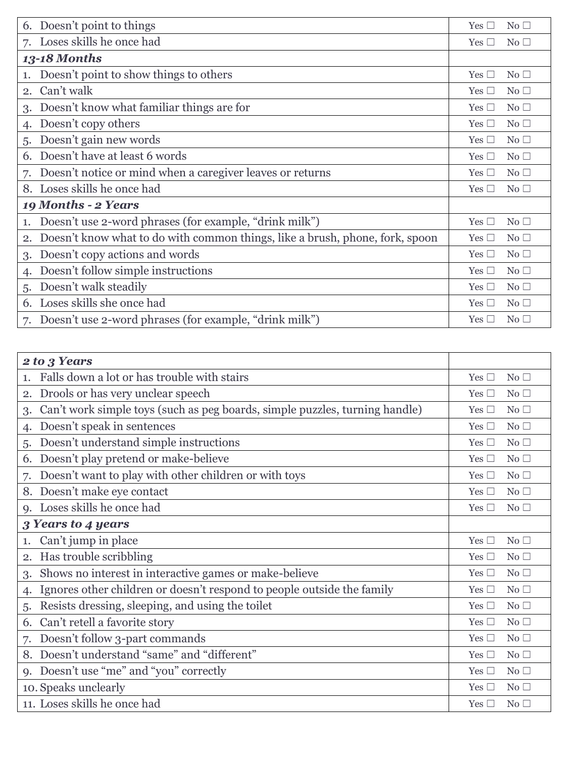| 6. Doesn't point to things                                                   | Yes $\Box$<br>No <sub>1</sub>    |
|------------------------------------------------------------------------------|----------------------------------|
| Loses skills he once had                                                     | Yes $\square$                    |
| 7.                                                                           | No <sub>1</sub>                  |
| <b>13-18 Months</b>                                                          |                                  |
| Doesn't point to show things to others                                       | Yes $\Box$                       |
| 1.                                                                           | No <sub>1</sub>                  |
| Can't walk                                                                   | No <sub>1</sub>                  |
| 2.                                                                           | Yes $\Box$                       |
| Doesn't know what familiar things are for                                    | No <sub>1</sub>                  |
| 3.                                                                           | Yes $\Box$                       |
| Doesn't copy others                                                          | Yes $\square$                    |
| 4.                                                                           | No <sub>1</sub>                  |
| Doesn't gain new words                                                       | No <sub>1</sub>                  |
| 5.                                                                           | Yes $\Box$                       |
| Doesn't have at least 6 words                                                | No <sub>1</sub>                  |
| 6.                                                                           | Yes $\Box$                       |
| Doesn't notice or mind when a caregiver leaves or returns                    | No <sub>1</sub>                  |
| 7.                                                                           | Yes $\Box$                       |
| Loses skills he once had                                                     | Yes $\Box$<br>No <sub>1</sub>    |
| 19 Months - 2 Years                                                          |                                  |
| Doesn't use 2-word phrases (for example, "drink milk")<br>1.                 | Yes<br>No <sub>1</sub><br>$\Box$ |
| Doesn't know what to do with common things, like a brush, phone, fork, spoon | Yes $\Box$                       |
| 2.                                                                           | No <sub>1</sub>                  |
| Doesn't copy actions and words                                               | Yes $\Box$                       |
| 3.                                                                           | No <sub>1</sub>                  |
| Doesn't follow simple instructions                                           | No <sub>1</sub><br>Yes $\Box$    |
| Doesn't walk steadily                                                        | Yes $\Box$                       |
| 5.                                                                           | No <sub>1</sub>                  |
| Loses skills she once had                                                    | Yes $\Box$                       |
| 6.                                                                           | No <sub>1</sub>                  |
| Doesn't use 2-word phrases (for example, "drink milk")                       | No <sub>1</sub>                  |
| 7.                                                                           | Yes $\Box$                       |

| 2 to 3 Years                                                                |                                  |
|-----------------------------------------------------------------------------|----------------------------------|
| Falls down a lot or has trouble with stairs                                 | No <sub>1</sub><br>Yes $\Box$    |
| Drools or has very unclear speech                                           | No <sub>1</sub>                  |
| 2.                                                                          | Yes $\Box$                       |
| Can't work simple toys (such as peg boards, simple puzzles, turning handle) | No $\Box$                        |
| 3.                                                                          | Yes $\Box$                       |
| Doesn't speak in sentences                                                  | Yes $\square$                    |
| $\mathbf{4}$                                                                | No <sub>1</sub>                  |
| Doesn't understand simple instructions                                      | No <sub>1</sub>                  |
| 5.                                                                          | Yes $\Box$                       |
| Doesn't play pretend or make-believe                                        | No <sub>1</sub>                  |
| 6.                                                                          | Yes $\Box$                       |
| Doesn't want to play with other children or with toys                       | No <sub>1</sub>                  |
| 7.                                                                          | Yes $\Box$                       |
| Doesn't make eye contact                                                    | Yes $\square$                    |
| 8.                                                                          | No <sub>1</sub>                  |
| Loses skills he once had                                                    | Yes $\Box$                       |
| $Q_{\bullet}$                                                               | No <sub>1</sub>                  |
| 3 Years to 4 years                                                          |                                  |
| Can't jump in place                                                         | Yes $\square$                    |
| 1.                                                                          | No <sub>1</sub>                  |
| Has trouble scribbling                                                      | Yes $\Box$                       |
| 2.                                                                          | No <sub>1</sub>                  |
| Shows no interest in interactive games or make-believe                      | No <sub>1</sub>                  |
| 3.                                                                          | Yes $\Box$                       |
| Ignores other children or doesn't respond to people outside the family      | Yes $\square$                    |
| 4.                                                                          | No <sub>1</sub>                  |
| Resists dressing, sleeping, and using the toilet                            | No <sub>1</sub>                  |
| 5.                                                                          | Yes $\Box$                       |
| Can't retell a favorite story                                               | No                               |
| 6.                                                                          | Yes $\Box$                       |
| Doesn't follow 3-part commands                                              | Yes $\Box$                       |
| 7.                                                                          | No $\Box$                        |
| Doesn't understand "same" and "different"                                   | No <sub>1</sub>                  |
| 8.                                                                          | Yes $\Box$                       |
| Doesn't use "me" and "you" correctly                                        | Yes $\Box$                       |
| 9.                                                                          | No <sub>1</sub>                  |
| 10. Speaks unclearly                                                        | Yes $\square$<br>No <sub>1</sub> |
| 11. Loses skills he once had                                                | Yes $\Box$<br>No <sub>1</sub>    |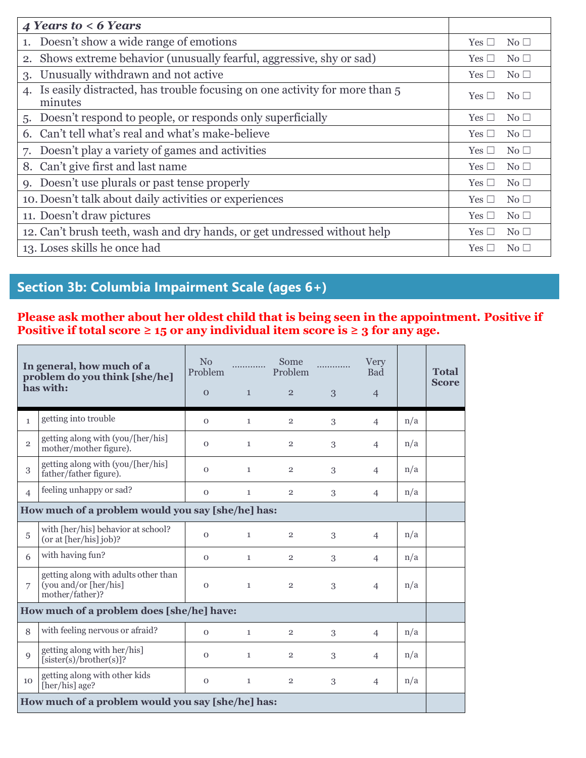| 4 Years to $<$ 6 Years                                                                   |                                                      |
|------------------------------------------------------------------------------------------|------------------------------------------------------|
| 1. Doesn't show a wide range of emotions                                                 | No <sub>1</sub><br>Yes $\Box$                        |
| 2. Shows extreme behavior (unusually fearful, aggressive, shy or sad)                    | No <sub>1</sub><br>Yes I<br>$\overline{\phantom{a}}$ |
| Unusually withdrawn and not active<br>3.                                                 | Yes [<br>$\rm No \ \Box$                             |
| 4. Is easily distracted, has trouble focusing on one activity for more than 5<br>minutes | No $\Box$<br>Yes                                     |
| 5. Doesn't respond to people, or responds only superficially                             | No $\square$<br>Yes [<br>- 1                         |
| 6. Can't tell what's real and what's make-believe                                        | Yes [<br>No <sub>1</sub>                             |
| 7. Doesn't play a variety of games and activities                                        | No <sub>1</sub><br>Yes [<br>- 1                      |
| 8. Can't give first and last name                                                        | Yes [<br>No <sub>1</sub><br>$\overline{\phantom{a}}$ |
| 9. Doesn't use plurals or past tense properly                                            | No $\Box$<br>Yes                                     |
| 10. Doesn't talk about daily activities or experiences                                   | Yes  <br>No <sub>1</sub>                             |
| 11. Doesn't draw pictures                                                                | No <sub>1</sub><br>Yes                               |
| 12. Can't brush teeth, wash and dry hands, or get undressed without help                 | Yes  <br>No <sub>1</sub>                             |
| 13. Loses skills he once had                                                             | $\rm No \ \Box$<br>Yes.                              |

## **Section 3b: Columbia Impairment Scale (ages 6+)**

#### **Please ask mother about her oldest child that is being seen in the appointment. Positive if Positive if total score**  $\geq 15$  **or any individual item score is**  $\geq 3$  **for any age.**

|                                                   | In general, how much of a<br>problem do you think [she/he]<br>has with:          | N <sub>0</sub><br>Problem<br>$\mathbf{0}$ | $\mathbf{1}$ | Some<br>Problem<br>$\overline{2}$ | 3 | Very<br><b>Bad</b><br>$\overline{4}$ |     | <b>Total</b><br><b>Score</b> |
|---------------------------------------------------|----------------------------------------------------------------------------------|-------------------------------------------|--------------|-----------------------------------|---|--------------------------------------|-----|------------------------------|
| $\mathbf{1}$                                      | getting into trouble                                                             | $\Omega$                                  | $\mathbf{1}$ | $\overline{2}$                    | 3 | $\overline{4}$                       | n/a |                              |
| $\overline{2}$                                    | getting along with (you/[her/his]<br>mother/mother figure).                      | $\mathbf{O}$                              | $\mathbf{1}$ | $\overline{2}$                    | 3 | $\overline{4}$                       | n/a |                              |
| 3                                                 | getting along with (you/[her/his]<br>father/father figure).                      | $\mathbf{O}$                              | $\mathbf{1}$ | $\overline{2}$                    | 3 | $\overline{4}$                       | n/a |                              |
| $\overline{4}$                                    | feeling unhappy or sad?                                                          | $\mathbf 0$                               | $\mathbf{1}$ | $\overline{2}$                    | 3 | $\overline{4}$                       | n/a |                              |
|                                                   | How much of a problem would you say [she/he] has:                                |                                           |              |                                   |   |                                      |     |                              |
| 5                                                 | with [her/his] behavior at school?<br>(or at [her/his] job)?                     | $\mathbf{O}$                              | $\mathbf{1}$ | $\overline{2}$                    | 3 | $\overline{4}$                       | n/a |                              |
| 6                                                 | with having fun?                                                                 | $\mathbf{O}$                              | $\mathbf{1}$ | $\overline{2}$                    | 3 | $\overline{4}$                       | n/a |                              |
| 7                                                 | getting along with adults other than<br>(you and/or [her/his]<br>mother/father)? | $\mathbf{O}$                              | $\mathbf{1}$ | $\overline{2}$                    | 3 | $\overline{4}$                       | n/a |                              |
| How much of a problem does [she/he] have:         |                                                                                  |                                           |              |                                   |   |                                      |     |                              |
| 8                                                 | with feeling nervous or afraid?                                                  | $\Omega$                                  | $\mathbf{1}$ | $\overline{2}$                    | 3 | $\overline{4}$                       | n/a |                              |
| 9                                                 | getting along with her/his]<br>$[{\rm sister}(s)/{\rm brother}(s)]$ ?            | $\mathbf{O}$                              | $\mathbf{1}$ | $\overline{2}$                    | 3 | $\overline{4}$                       | n/a |                              |
| 10                                                | getting along with other kids<br>[her/his] age?                                  | $\mathbf{O}$                              | $\mathbf{1}$ | $\overline{2}$                    | 3 | $\overline{4}$                       | n/a |                              |
| How much of a problem would you say [she/he] has: |                                                                                  |                                           |              |                                   |   |                                      |     |                              |